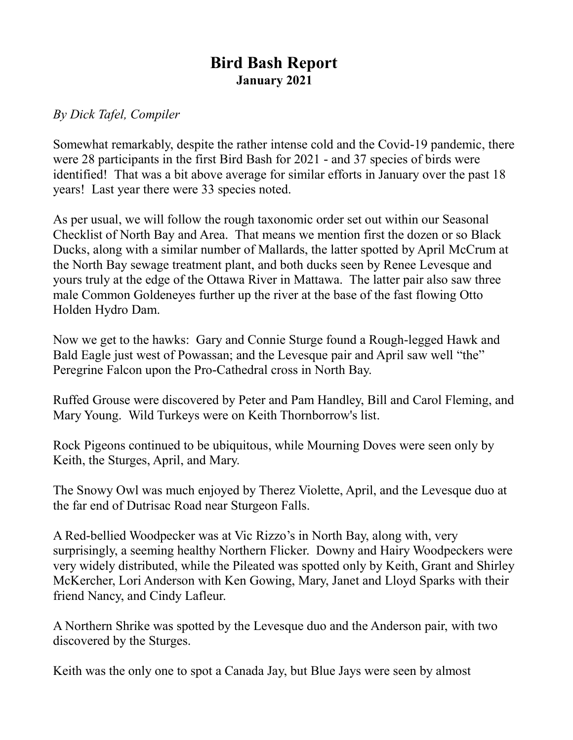## **Bird Bash Report January 2021**

## *By Dick Tafel, Compiler*

Somewhat remarkably, despite the rather intense cold and the Covid-19 pandemic, there were 28 participants in the first Bird Bash for 2021 - and 37 species of birds were identified! That was a bit above average for similar efforts in January over the past 18 years! Last year there were 33 species noted.

As per usual, we will follow the rough taxonomic order set out within our Seasonal Checklist of North Bay and Area. That means we mention first the dozen or so Black Ducks, along with a similar number of Mallards, the latter spotted by April McCrum at the North Bay sewage treatment plant, and both ducks seen by Renee Levesque and yours truly at the edge of the Ottawa River in Mattawa. The latter pair also saw three male Common Goldeneyes further up the river at the base of the fast flowing Otto Holden Hydro Dam.

Now we get to the hawks: Gary and Connie Sturge found a Rough-legged Hawk and Bald Eagle just west of Powassan; and the Levesque pair and April saw well "the" Peregrine Falcon upon the Pro-Cathedral cross in North Bay.

Ruffed Grouse were discovered by Peter and Pam Handley, Bill and Carol Fleming, and Mary Young. Wild Turkeys were on Keith Thornborrow's list.

Rock Pigeons continued to be ubiquitous, while Mourning Doves were seen only by Keith, the Sturges, April, and Mary.

The Snowy Owl was much enjoyed by Therez Violette, April, and the Levesque duo at the far end of Dutrisac Road near Sturgeon Falls.

A Red-bellied Woodpecker was at Vic Rizzo's in North Bay, along with, very surprisingly, a seeming healthy Northern Flicker. Downy and Hairy Woodpeckers were very widely distributed, while the Pileated was spotted only by Keith, Grant and Shirley McKercher, Lori Anderson with Ken Gowing, Mary, Janet and Lloyd Sparks with their friend Nancy, and Cindy Lafleur.

A Northern Shrike was spotted by the Levesque duo and the Anderson pair, with two discovered by the Sturges.

Keith was the only one to spot a Canada Jay, but Blue Jays were seen by almost